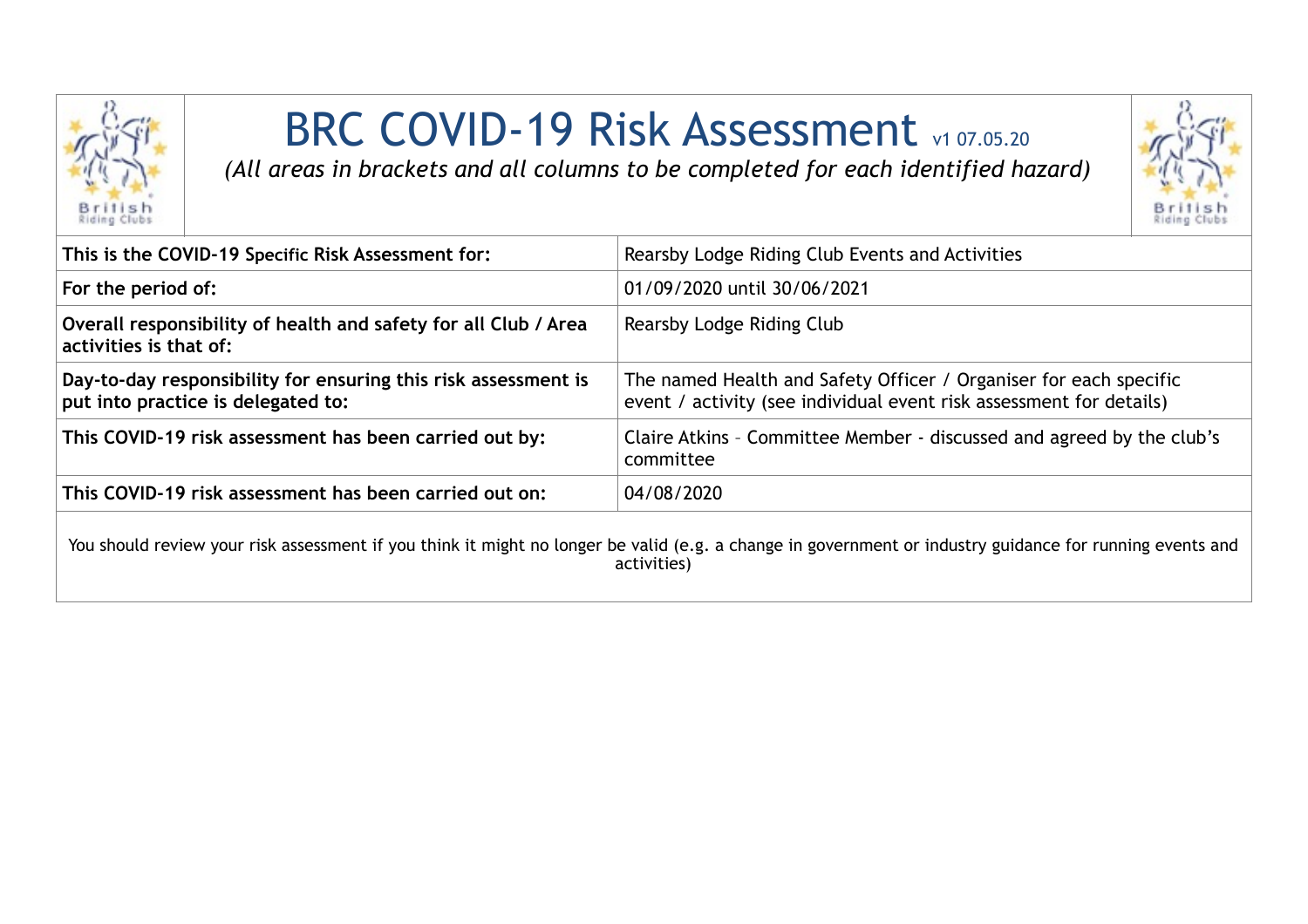

## BRC COVID-19 Risk Assessment v1 07.05.20

*(All areas in brackets and all columns to be completed for each identified hazard)*



| This is the COVID-19 Specific Risk Assessment for:                                                   | Rearsby Lodge Riding Club Events and Activities                                                                                                                         |
|------------------------------------------------------------------------------------------------------|-------------------------------------------------------------------------------------------------------------------------------------------------------------------------|
| For the period of:                                                                                   | 01/09/2020 until 30/06/2021                                                                                                                                             |
| Overall responsibility of health and safety for all Club / Area<br>activities is that of:            | Rearsby Lodge Riding Club                                                                                                                                               |
| Day-to-day responsibility for ensuring this risk assessment is<br>put into practice is delegated to: | The named Health and Safety Officer / Organiser for each specific<br>event / activity (see individual event risk assessment for details)                                |
| This COVID-19 risk assessment has been carried out by:                                               | Claire Atkins - Committee Member - discussed and agreed by the club's<br>committee                                                                                      |
| This COVID-19 risk assessment has been carried out on:                                               | 04/08/2020                                                                                                                                                              |
|                                                                                                      | You should review your risk assessment if you think it might no longer be valid (e.g. a change in government or industry guidance for running events and<br>activities) |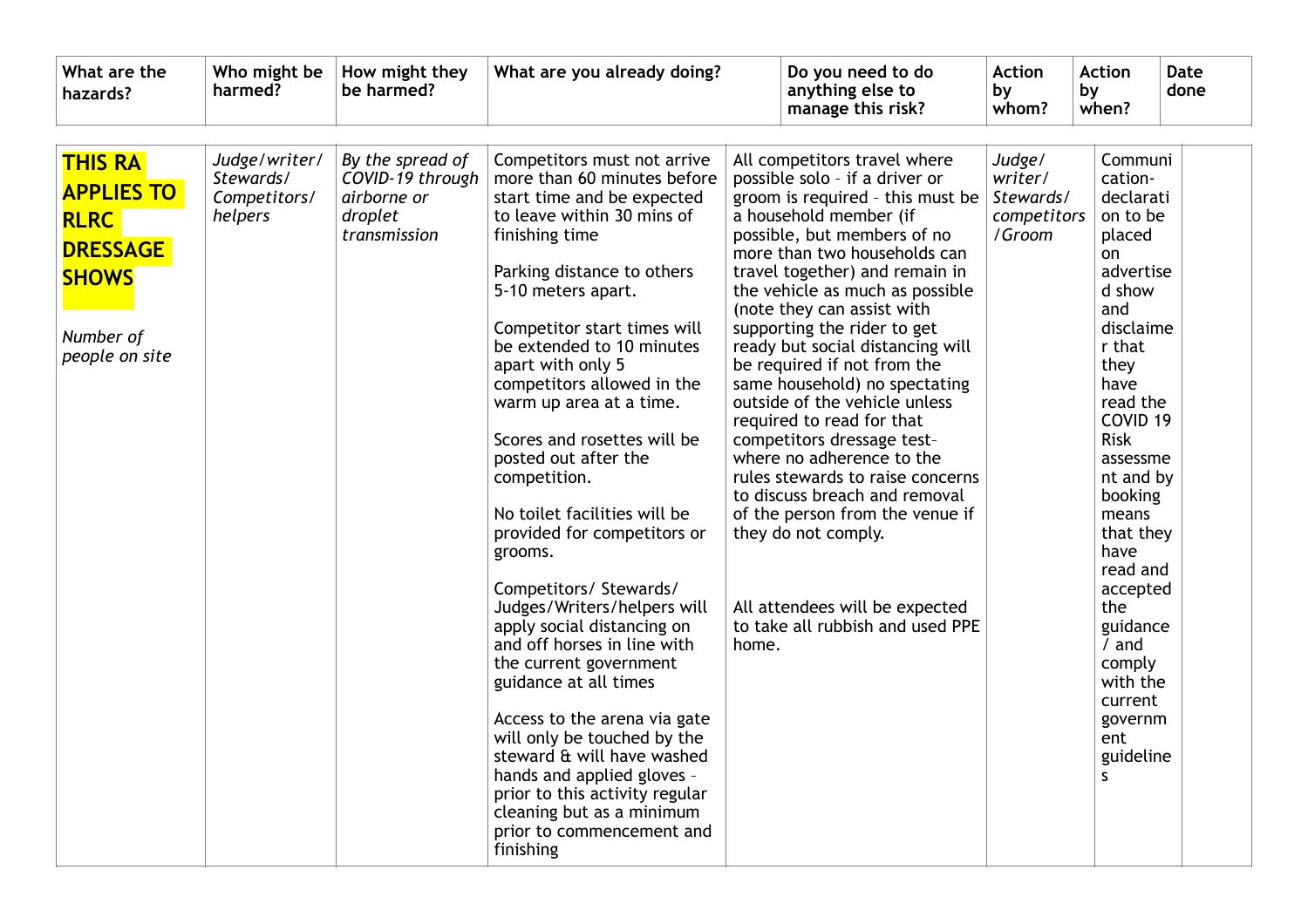| What are the<br>hazards?                                                                                             | Who might be<br>harmed?                               | How might they<br>be harmed?                                                   | What are you already doing?                                                                                                                                                                                                                                                                                                                                                                                                                                                                                                                                                                                                                                                                                                                                                                                                                                                                          |       | Do you need to do<br>anything else to<br>manage this risk?                                                                                                                                                                                                                                                                                                                                                                                                                                                                                                                                                                                                                                                                                                      | <b>Action</b><br>by<br>whom?                            | <b>Action</b><br>by<br>when?                                                                                                                                                                                                                                                                                                                                             | Date<br>done |
|----------------------------------------------------------------------------------------------------------------------|-------------------------------------------------------|--------------------------------------------------------------------------------|------------------------------------------------------------------------------------------------------------------------------------------------------------------------------------------------------------------------------------------------------------------------------------------------------------------------------------------------------------------------------------------------------------------------------------------------------------------------------------------------------------------------------------------------------------------------------------------------------------------------------------------------------------------------------------------------------------------------------------------------------------------------------------------------------------------------------------------------------------------------------------------------------|-------|-----------------------------------------------------------------------------------------------------------------------------------------------------------------------------------------------------------------------------------------------------------------------------------------------------------------------------------------------------------------------------------------------------------------------------------------------------------------------------------------------------------------------------------------------------------------------------------------------------------------------------------------------------------------------------------------------------------------------------------------------------------------|---------------------------------------------------------|--------------------------------------------------------------------------------------------------------------------------------------------------------------------------------------------------------------------------------------------------------------------------------------------------------------------------------------------------------------------------|--------------|
| <b>THIS RA</b><br><b>APPLIES TO</b><br><b>RLRC</b><br><b>DRESSAGE</b><br><b>SHOWS</b><br>Number of<br>people on site | Judge/writer/<br>Stewards/<br>Competitors/<br>helpers | By the spread of<br>COVID-19 through<br>airborne or<br>droplet<br>transmission | Competitors must not arrive<br>more than 60 minutes before<br>start time and be expected<br>to leave within 30 mins of<br>finishing time<br>Parking distance to others<br>5-10 meters apart.<br>Competitor start times will<br>be extended to 10 minutes<br>apart with only 5<br>competitors allowed in the<br>warm up area at a time.<br>Scores and rosettes will be<br>posted out after the<br>competition.<br>No toilet facilities will be<br>provided for competitors or<br>grooms.<br>Competitors/ Stewards/<br>Judges/Writers/helpers will<br>apply social distancing on<br>and off horses in line with<br>the current government<br>guidance at all times<br>Access to the arena via gate<br>will only be touched by the<br>steward & will have washed<br>hands and applied gloves -<br>prior to this activity regular<br>cleaning but as a minimum<br>prior to commencement and<br>finishing | home. | All competitors travel where<br>possible solo - if a driver or<br>groom is required - this must be<br>a household member (if<br>possible, but members of no<br>more than two households can<br>travel together) and remain in<br>the vehicle as much as possible<br>(note they can assist with<br>supporting the rider to get<br>ready but social distancing will<br>be required if not from the<br>same household) no spectating<br>outside of the vehicle unless<br>required to read for that<br>competitors dressage test-<br>where no adherence to the<br>rules stewards to raise concerns<br>to discuss breach and removal<br>of the person from the venue if<br>they do not comply.<br>All attendees will be expected<br>to take all rubbish and used PPE | Judge/<br>writer/<br>Stewards/<br>competitors<br>/Groom | Communi<br>cation-<br>declarati<br>on to be<br>placed<br>on<br>advertise<br>d show<br>and<br>disclaime<br>r that<br>they<br>have<br>read the<br>COVID <sub>19</sub><br><b>Risk</b><br>assessme<br>nt and by<br>booking<br>means<br>that they<br>have<br>read and<br>accepted<br>the<br>guidance<br>/ and<br>comply<br>with the<br>current<br>governm<br>ent<br>guideline |              |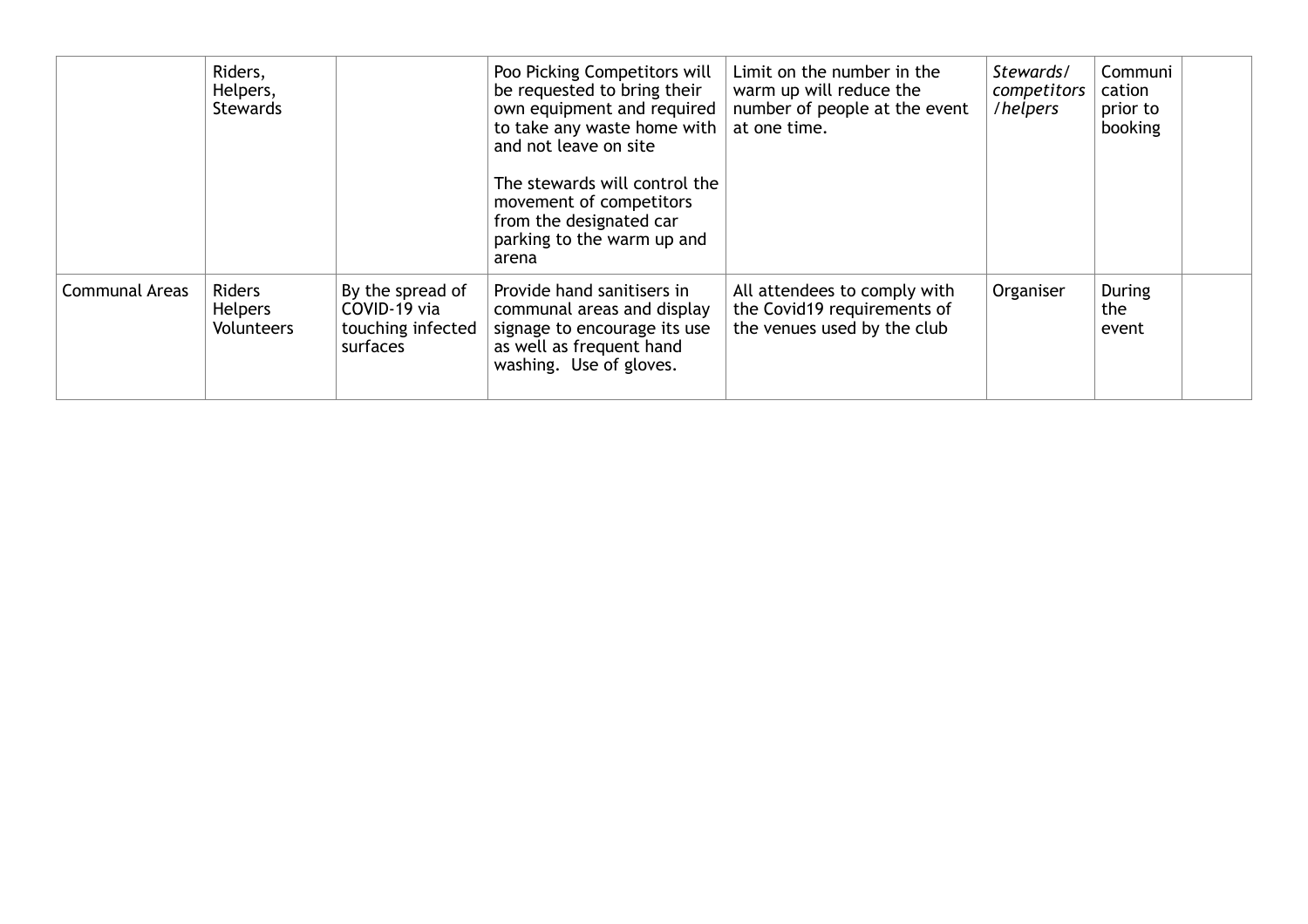|                       | Riders,<br>Helpers,<br><b>Stewards</b> |                                                                   | Poo Picking Competitors will<br>be requested to bring their<br>own equipment and required<br>to take any waste home with<br>and not leave on site<br>The stewards will control the<br>movement of competitors<br>from the designated car<br>parking to the warm up and<br>arena | Limit on the number in the<br>warm up will reduce the<br>number of people at the event<br>at one time. | Stewards/<br>competitors<br>/helpers | Communi<br>cation<br>prior to<br>booking |  |
|-----------------------|----------------------------------------|-------------------------------------------------------------------|---------------------------------------------------------------------------------------------------------------------------------------------------------------------------------------------------------------------------------------------------------------------------------|--------------------------------------------------------------------------------------------------------|--------------------------------------|------------------------------------------|--|
| <b>Communal Areas</b> | Riders<br><b>Helpers</b><br>Volunteers | By the spread of<br>COVID-19 via<br>touching infected<br>surfaces | Provide hand sanitisers in<br>communal areas and display<br>signage to encourage its use<br>as well as frequent hand<br>washing. Use of gloves.                                                                                                                                 | All attendees to comply with<br>the Covid19 requirements of<br>the venues used by the club             | Organiser                            | During<br>the<br>event                   |  |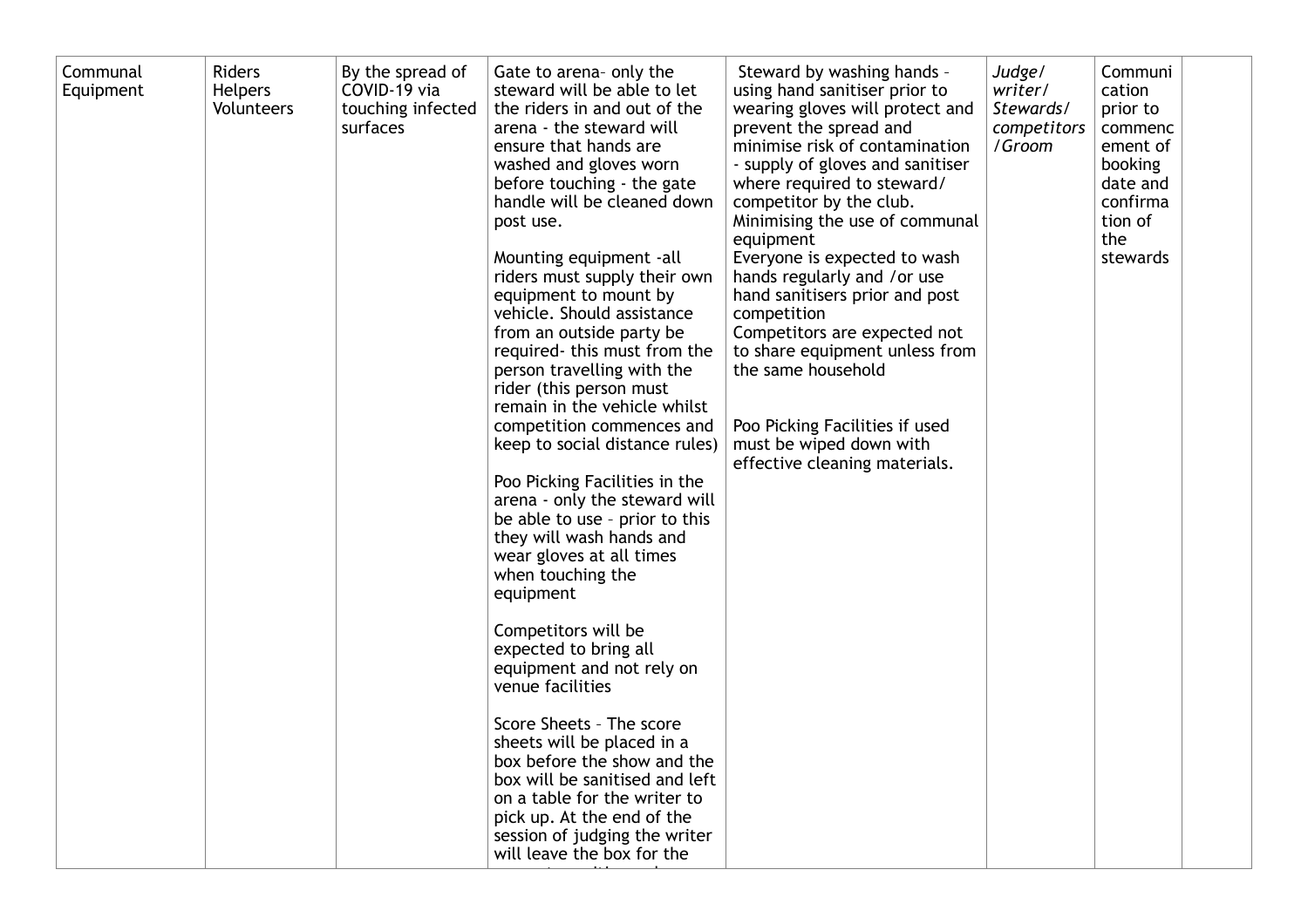| Communal<br>Equipment | <b>Riders</b><br><b>Helpers</b><br><b>Volunteers</b> | By the spread of<br>COVID-19 via<br>touching infected<br>surfaces | Gate to arena- only the<br>steward will be able to let<br>the riders in and out of the<br>arena - the steward will<br>ensure that hands are<br>washed and gloves worn<br>before touching - the gate<br>handle will be cleaned down<br>post use.<br>Mounting equipment -all<br>riders must supply their own<br>equipment to mount by<br>vehicle. Should assistance<br>from an outside party be<br>required-this must from the<br>person travelling with the<br>rider (this person must<br>remain in the vehicle whilst<br>competition commences and<br>keep to social distance rules)<br>Poo Picking Facilities in the<br>arena - only the steward will<br>be able to use - prior to this<br>they will wash hands and<br>wear gloves at all times<br>when touching the<br>equipment<br>Competitors will be<br>expected to bring all<br>equipment and not rely on<br>venue facilities<br>Score Sheets - The score<br>sheets will be placed in a<br>box before the show and the<br>box will be sanitised and left<br>on a table for the writer to<br>pick up. At the end of the<br>session of judging the writer<br>will leave the box for the | Steward by washing hands -<br>using hand sanitiser prior to<br>wearing gloves will protect and<br>prevent the spread and<br>minimise risk of contamination<br>- supply of gloves and sanitiser<br>where required to steward/<br>competitor by the club.<br>Minimising the use of communal<br>equipment<br>Everyone is expected to wash<br>hands regularly and /or use<br>hand sanitisers prior and post<br>competition<br>Competitors are expected not<br>to share equipment unless from<br>the same household<br>Poo Picking Facilities if used<br>must be wiped down with<br>effective cleaning materials. | Judge/<br>writer/<br>Stewards/<br>competitors<br>/Groom | Communi<br>cation<br>prior to<br>commenc<br>ement of<br>booking<br>date and<br>confirma<br>tion of<br>the<br>stewards |  |
|-----------------------|------------------------------------------------------|-------------------------------------------------------------------|---------------------------------------------------------------------------------------------------------------------------------------------------------------------------------------------------------------------------------------------------------------------------------------------------------------------------------------------------------------------------------------------------------------------------------------------------------------------------------------------------------------------------------------------------------------------------------------------------------------------------------------------------------------------------------------------------------------------------------------------------------------------------------------------------------------------------------------------------------------------------------------------------------------------------------------------------------------------------------------------------------------------------------------------------------------------------------------------------------------------------------------------|--------------------------------------------------------------------------------------------------------------------------------------------------------------------------------------------------------------------------------------------------------------------------------------------------------------------------------------------------------------------------------------------------------------------------------------------------------------------------------------------------------------------------------------------------------------------------------------------------------------|---------------------------------------------------------|-----------------------------------------------------------------------------------------------------------------------|--|
|-----------------------|------------------------------------------------------|-------------------------------------------------------------------|---------------------------------------------------------------------------------------------------------------------------------------------------------------------------------------------------------------------------------------------------------------------------------------------------------------------------------------------------------------------------------------------------------------------------------------------------------------------------------------------------------------------------------------------------------------------------------------------------------------------------------------------------------------------------------------------------------------------------------------------------------------------------------------------------------------------------------------------------------------------------------------------------------------------------------------------------------------------------------------------------------------------------------------------------------------------------------------------------------------------------------------------|--------------------------------------------------------------------------------------------------------------------------------------------------------------------------------------------------------------------------------------------------------------------------------------------------------------------------------------------------------------------------------------------------------------------------------------------------------------------------------------------------------------------------------------------------------------------------------------------------------------|---------------------------------------------------------|-----------------------------------------------------------------------------------------------------------------------|--|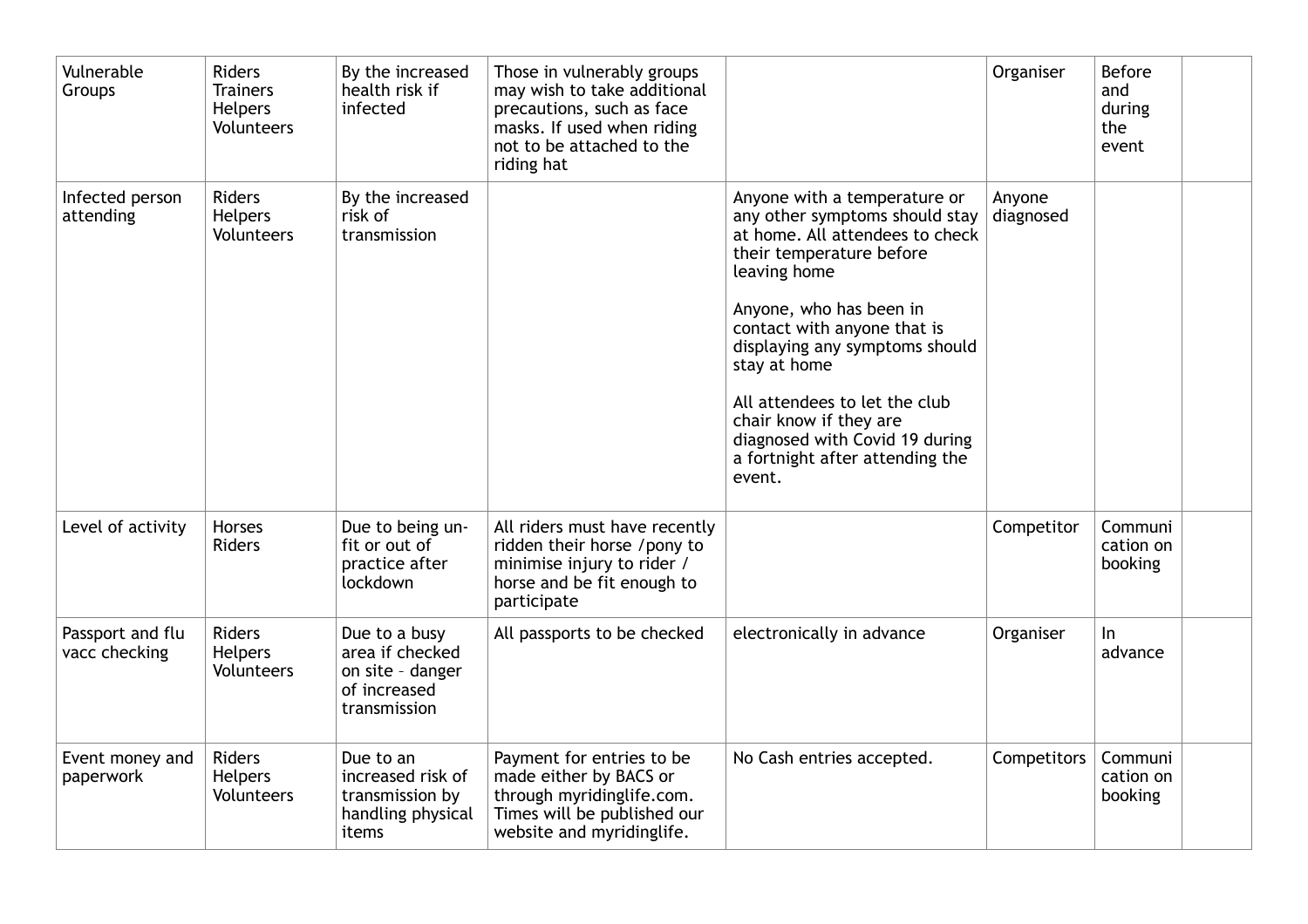| Vulnerable<br>Groups              | Riders<br><b>Trainers</b><br><b>Helpers</b><br>Volunteers | By the increased<br>health risk if<br>infected                                       | Those in vulnerably groups<br>may wish to take additional<br>precautions, such as face<br>masks. If used when riding<br>not to be attached to the<br>riding hat |                                                                                                                                                                                                                                                                                                                                                                                                     | Organiser           | <b>Before</b><br>and<br>during<br>the<br>event |
|-----------------------------------|-----------------------------------------------------------|--------------------------------------------------------------------------------------|-----------------------------------------------------------------------------------------------------------------------------------------------------------------|-----------------------------------------------------------------------------------------------------------------------------------------------------------------------------------------------------------------------------------------------------------------------------------------------------------------------------------------------------------------------------------------------------|---------------------|------------------------------------------------|
| Infected person<br>attending      | <b>Riders</b><br><b>Helpers</b><br>Volunteers             | By the increased<br>risk of<br>transmission                                          |                                                                                                                                                                 | Anyone with a temperature or<br>any other symptoms should stay<br>at home. All attendees to check<br>their temperature before<br>leaving home<br>Anyone, who has been in<br>contact with anyone that is<br>displaying any symptoms should<br>stay at home<br>All attendees to let the club<br>chair know if they are<br>diagnosed with Covid 19 during<br>a fortnight after attending the<br>event. | Anyone<br>diagnosed |                                                |
| Level of activity                 | Horses<br>Riders                                          | Due to being un-<br>fit or out of<br>practice after<br>lockdown                      | All riders must have recently<br>ridden their horse /pony to<br>minimise injury to rider /<br>horse and be fit enough to<br>participate                         |                                                                                                                                                                                                                                                                                                                                                                                                     | Competitor          | Communi<br>cation on<br>booking                |
| Passport and flu<br>vacc checking | <b>Riders</b><br><b>Helpers</b><br>Volunteers             | Due to a busy<br>area if checked<br>on site - danger<br>of increased<br>transmission | All passports to be checked                                                                                                                                     | electronically in advance                                                                                                                                                                                                                                                                                                                                                                           | Organiser           | $\ln$<br>advance                               |
| Event money and<br>paperwork      | Riders<br>Helpers<br>Volunteers                           | Due to an<br>increased risk of<br>transmission by<br>handling physical<br>items      | Payment for entries to be<br>made either by BACS or<br>through myridinglife.com.<br>Times will be published our<br>website and myridinglife.                    | No Cash entries accepted.                                                                                                                                                                                                                                                                                                                                                                           | Competitors         | Communi<br>cation on<br>booking                |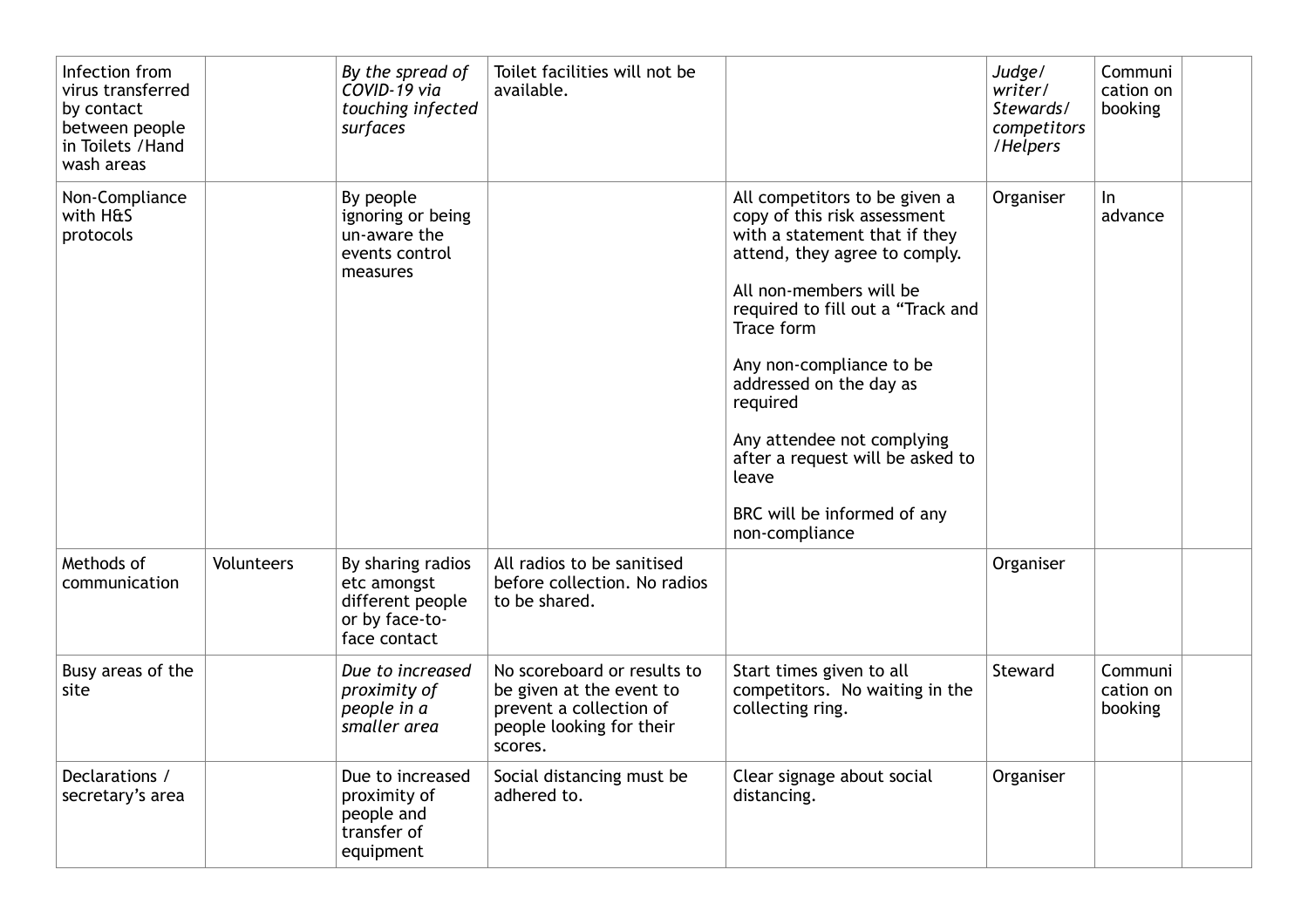| Infection from<br>virus transferred<br>by contact<br>between people<br>in Toilets / Hand<br>wash areas |            | By the spread of<br>COVID-19 via<br>touching infected<br>surfaces                      | Toilet facilities will not be<br>available.                                                                               |                                                                                                                                                                                                                                                                                                                                                                                                              | Judge/<br>writer/<br>Stewards/<br>competitors<br>/Helpers | Communi<br>cation on<br>booking |
|--------------------------------------------------------------------------------------------------------|------------|----------------------------------------------------------------------------------------|---------------------------------------------------------------------------------------------------------------------------|--------------------------------------------------------------------------------------------------------------------------------------------------------------------------------------------------------------------------------------------------------------------------------------------------------------------------------------------------------------------------------------------------------------|-----------------------------------------------------------|---------------------------------|
| Non-Compliance<br>with H&S<br>protocols                                                                |            | By people<br>ignoring or being<br>un-aware the<br>events control<br>measures           |                                                                                                                           | All competitors to be given a<br>copy of this risk assessment<br>with a statement that if they<br>attend, they agree to comply.<br>All non-members will be<br>required to fill out a "Track and<br>Trace form<br>Any non-compliance to be<br>addressed on the day as<br>required<br>Any attendee not complying<br>after a request will be asked to<br>leave<br>BRC will be informed of any<br>non-compliance | Organiser                                                 | ln<br>advance                   |
| Methods of<br>communication                                                                            | Volunteers | By sharing radios<br>etc amongst<br>different people<br>or by face-to-<br>face contact | All radios to be sanitised<br>before collection. No radios<br>to be shared.                                               |                                                                                                                                                                                                                                                                                                                                                                                                              | Organiser                                                 |                                 |
| Busy areas of the<br>site                                                                              |            | Due to increased<br>proximity of<br>people in a<br>smaller area                        | No scoreboard or results to<br>be given at the event to<br>prevent a collection of<br>people looking for their<br>scores. | Start times given to all<br>competitors. No waiting in the<br>collecting ring.                                                                                                                                                                                                                                                                                                                               | Steward                                                   | Communi<br>cation on<br>booking |
| Declarations /<br>secretary's area                                                                     |            | Due to increased<br>proximity of<br>people and<br>transfer of<br>equipment             | Social distancing must be<br>adhered to.                                                                                  | Clear signage about social<br>distancing.                                                                                                                                                                                                                                                                                                                                                                    | Organiser                                                 |                                 |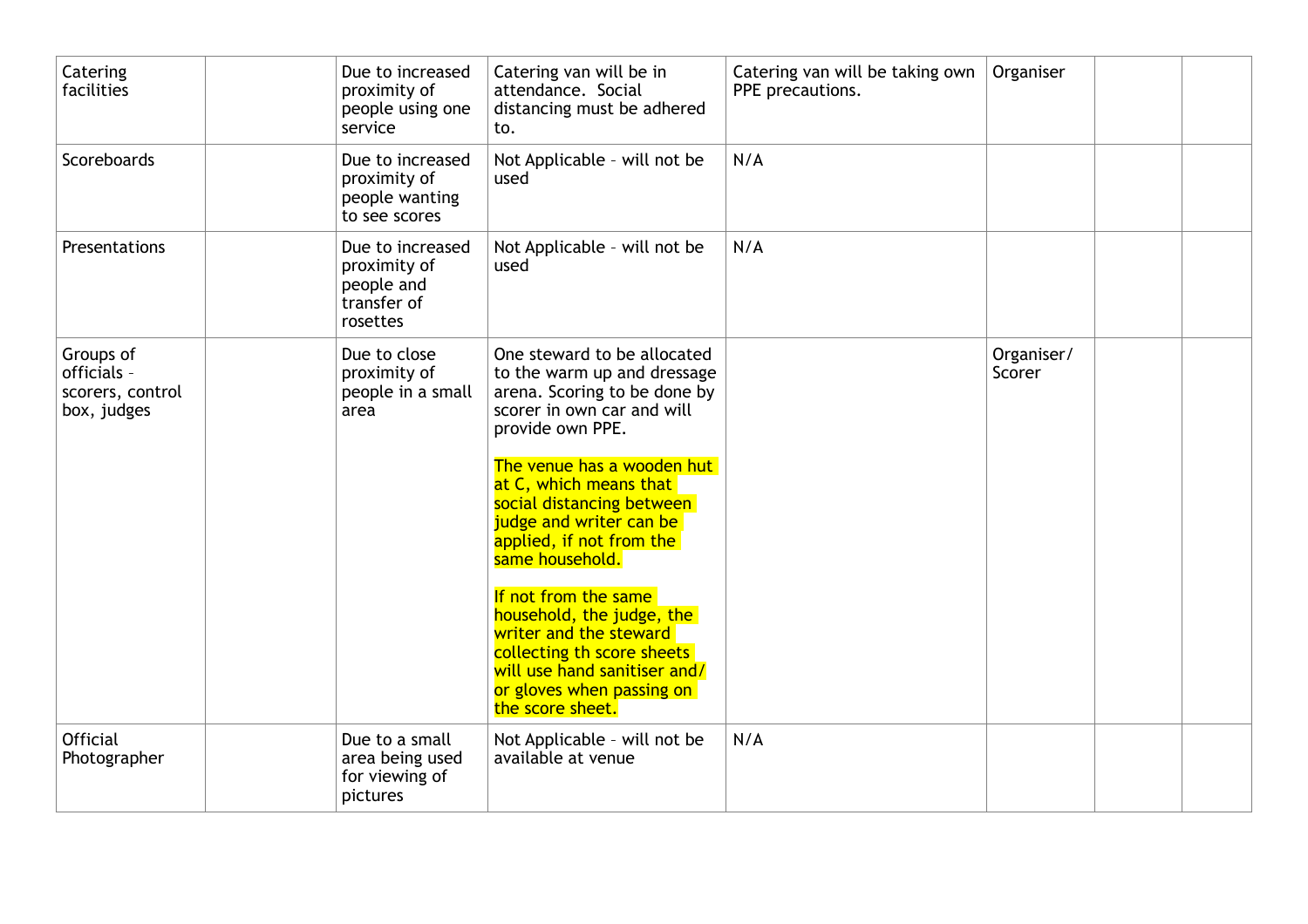| Catering<br>facilities                                      | Due to increased<br>proximity of<br>people using one<br>service           | Catering van will be in<br>attendance. Social<br>distancing must be adhered<br>to.                                                                                                                                                                                                                                                                                                                                                                                                                        | Catering van will be taking own<br>PPE precautions. | Organiser            |  |
|-------------------------------------------------------------|---------------------------------------------------------------------------|-----------------------------------------------------------------------------------------------------------------------------------------------------------------------------------------------------------------------------------------------------------------------------------------------------------------------------------------------------------------------------------------------------------------------------------------------------------------------------------------------------------|-----------------------------------------------------|----------------------|--|
| Scoreboards                                                 | Due to increased<br>proximity of<br>people wanting<br>to see scores       | Not Applicable - will not be<br>used                                                                                                                                                                                                                                                                                                                                                                                                                                                                      | N/A                                                 |                      |  |
| Presentations                                               | Due to increased<br>proximity of<br>people and<br>transfer of<br>rosettes | Not Applicable - will not be<br>used                                                                                                                                                                                                                                                                                                                                                                                                                                                                      | N/A                                                 |                      |  |
| Groups of<br>officials -<br>scorers, control<br>box, judges | Due to close<br>proximity of<br>people in a small<br>area                 | One steward to be allocated<br>to the warm up and dressage<br>arena. Scoring to be done by<br>scorer in own car and will<br>provide own PPE.<br>The venue has a wooden hut<br>at C, which means that<br>social distancing between<br>judge and writer can be<br>applied, if not from the<br>same household.<br>If not from the same<br>household, the judge, the<br>writer and the steward<br>collecting th score sheets<br>will use hand sanitiser and/<br>or gloves when passing on<br>the score sheet. |                                                     | Organiser/<br>Scorer |  |
| <b>Official</b><br>Photographer                             | Due to a small<br>area being used<br>for viewing of<br>pictures           | Not Applicable - will not be<br>available at venue                                                                                                                                                                                                                                                                                                                                                                                                                                                        | N/A                                                 |                      |  |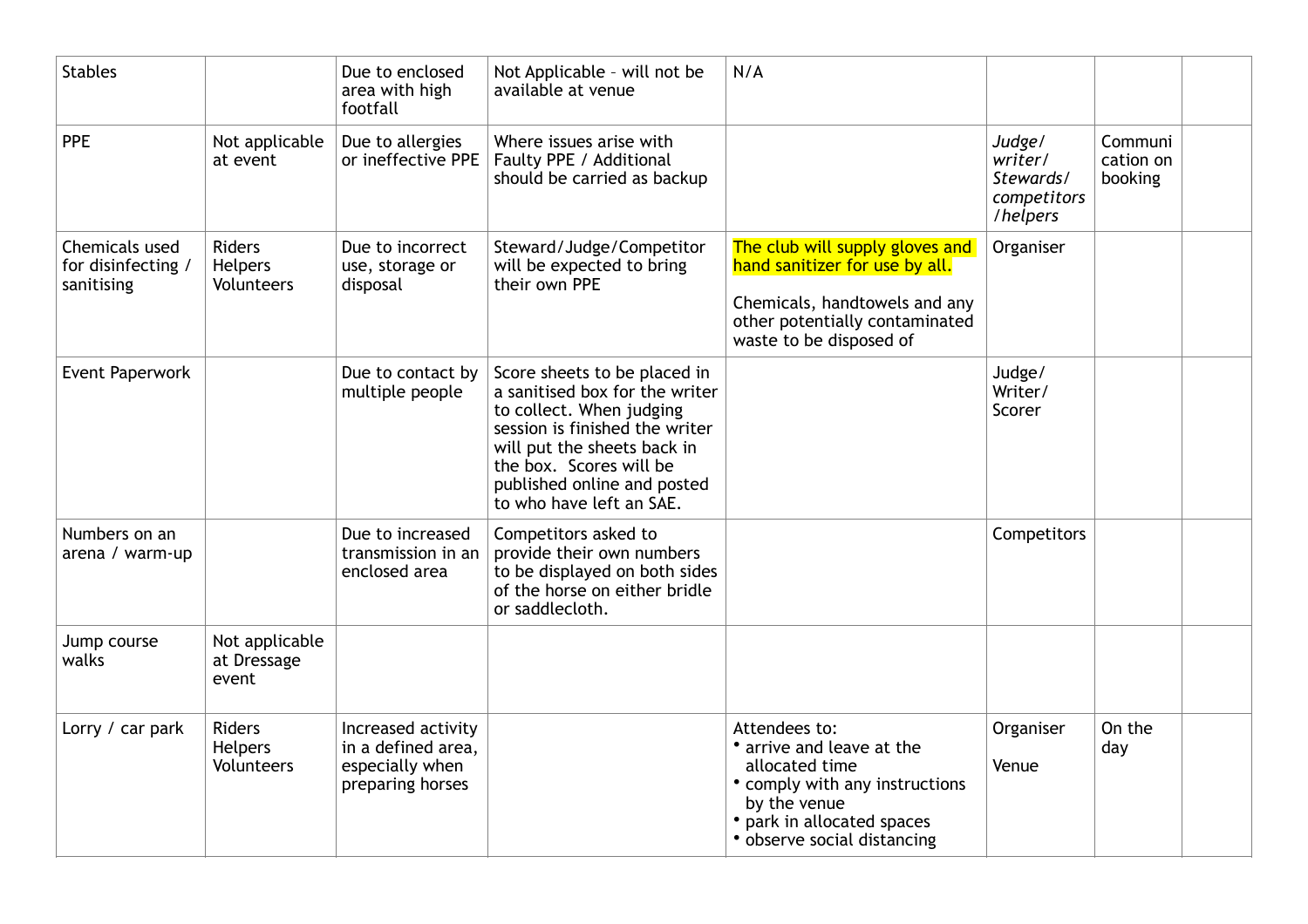| <b>Stables</b>                                     |                                                      | Due to enclosed<br>area with high<br>footfall                                   | Not Applicable - will not be<br>available at venue                                                                                                                                                                                                | N/A                                                                                                                                                                       |                                                           |                                 |  |
|----------------------------------------------------|------------------------------------------------------|---------------------------------------------------------------------------------|---------------------------------------------------------------------------------------------------------------------------------------------------------------------------------------------------------------------------------------------------|---------------------------------------------------------------------------------------------------------------------------------------------------------------------------|-----------------------------------------------------------|---------------------------------|--|
| <b>PPE</b>                                         | Not applicable<br>at event                           | Due to allergies<br>or ineffective PPE                                          | Where issues arise with<br>Faulty PPE / Additional<br>should be carried as backup                                                                                                                                                                 |                                                                                                                                                                           | Judge/<br>writer/<br>Stewards/<br>competitors<br>/helpers | Communi<br>cation on<br>booking |  |
| Chemicals used<br>for disinfecting /<br>sanitising | <b>Riders</b><br><b>Helpers</b><br><b>Volunteers</b> | Due to incorrect<br>use, storage or<br>disposal                                 | Steward/Judge/Competitor<br>will be expected to bring<br>their own PPE                                                                                                                                                                            | The club will supply gloves and<br>hand sanitizer for use by all.<br>Chemicals, handtowels and any<br>other potentially contaminated<br>waste to be disposed of           | Organiser                                                 |                                 |  |
| Event Paperwork                                    |                                                      | Due to contact by<br>multiple people                                            | Score sheets to be placed in<br>a sanitised box for the writer<br>to collect. When judging<br>session is finished the writer<br>will put the sheets back in<br>the box. Scores will be<br>published online and posted<br>to who have left an SAE. |                                                                                                                                                                           | Judge/<br>Writer/<br>Scorer                               |                                 |  |
| Numbers on an<br>arena / warm-up                   |                                                      | Due to increased<br>transmission in an<br>enclosed area                         | Competitors asked to<br>provide their own numbers<br>to be displayed on both sides<br>of the horse on either bridle<br>or saddlecloth.                                                                                                            |                                                                                                                                                                           | Competitors                                               |                                 |  |
| Jump course<br>walks                               | Not applicable<br>at Dressage<br>event               |                                                                                 |                                                                                                                                                                                                                                                   |                                                                                                                                                                           |                                                           |                                 |  |
| Lorry / car park                                   | <b>Riders</b><br><b>Helpers</b><br><b>Volunteers</b> | Increased activity<br>in a defined area,<br>especially when<br>preparing horses |                                                                                                                                                                                                                                                   | Attendees to:<br>• arrive and leave at the<br>allocated time<br>• comply with any instructions<br>by the venue<br>park in allocated spaces<br>• observe social distancing | Organiser<br>Venue                                        | On the<br>day                   |  |